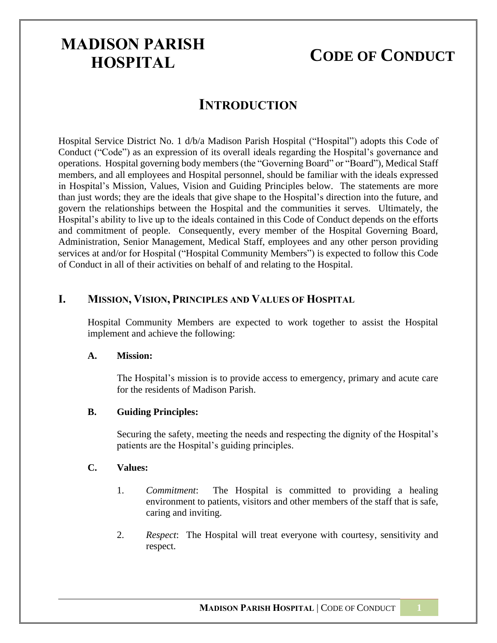# **CODE OF CONDUCT**

### **INTRODUCTION**

Hospital Service District No. 1 d/b/a Madison Parish Hospital ("Hospital") adopts this Code of Conduct ("Code") as an expression of its overall ideals regarding the Hospital's governance and operations. Hospital governing body members (the "Governing Board" or "Board"), Medical Staff members, and all employees and Hospital personnel, should be familiar with the ideals expressed in Hospital's Mission, Values, Vision and Guiding Principles below. The statements are more than just words; they are the ideals that give shape to the Hospital's direction into the future, and govern the relationships between the Hospital and the communities it serves. Ultimately, the Hospital's ability to live up to the ideals contained in this Code of Conduct depends on the efforts and commitment of people. Consequently, every member of the Hospital Governing Board, Administration, Senior Management, Medical Staff, employees and any other person providing services at and/or for Hospital ("Hospital Community Members") is expected to follow this Code of Conduct in all of their activities on behalf of and relating to the Hospital.

#### **I. MISSION, VISION, PRINCIPLES AND VALUES OF HOSPITAL**

Hospital Community Members are expected to work together to assist the Hospital implement and achieve the following:

#### **A. Mission:**

The Hospital's mission is to provide access to emergency, primary and acute care for the residents of Madison Parish.

#### **B. Guiding Principles:**

Securing the safety, meeting the needs and respecting the dignity of the Hospital's patients are the Hospital's guiding principles.

#### **C. Values:**

- 1. *Commitment*: The Hospital is committed to providing a healing environment to patients, visitors and other members of the staff that is safe, caring and inviting.
- 2. *Respect*: The Hospital will treat everyone with courtesy, sensitivity and respect.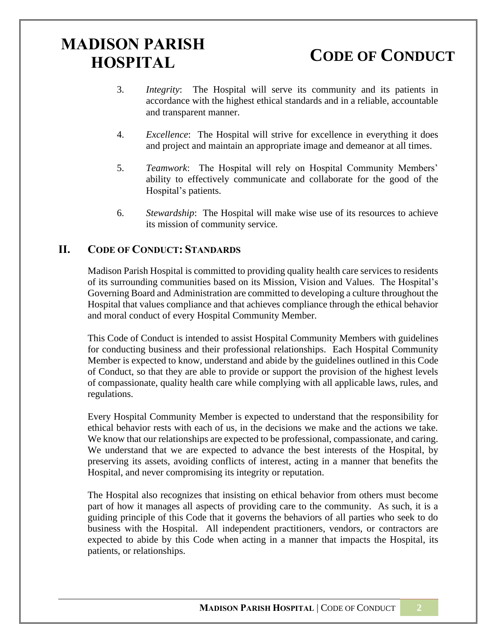**CODE OF CONDUCT**

- 3. *Integrity*: The Hospital will serve its community and its patients in accordance with the highest ethical standards and in a reliable, accountable and transparent manner.
- 4. *Excellence*: The Hospital will strive for excellence in everything it does and project and maintain an appropriate image and demeanor at all times.
- 5. *Teamwork*: The Hospital will rely on Hospital Community Members' ability to effectively communicate and collaborate for the good of the Hospital's patients.
- 6. *Stewardship*: The Hospital will make wise use of its resources to achieve its mission of community service.

### **II. CODE OF CONDUCT: STANDARDS**

Madison Parish Hospital is committed to providing quality health care services to residents of its surrounding communities based on its Mission, Vision and Values. The Hospital's Governing Board and Administration are committed to developing a culture throughout the Hospital that values compliance and that achieves compliance through the ethical behavior and moral conduct of every Hospital Community Member.

This Code of Conduct is intended to assist Hospital Community Members with guidelines for conducting business and their professional relationships. Each Hospital Community Member is expected to know, understand and abide by the guidelines outlined in this Code of Conduct, so that they are able to provide or support the provision of the highest levels of compassionate, quality health care while complying with all applicable laws, rules, and regulations.

Every Hospital Community Member is expected to understand that the responsibility for ethical behavior rests with each of us, in the decisions we make and the actions we take. We know that our relationships are expected to be professional, compassionate, and caring. We understand that we are expected to advance the best interests of the Hospital, by preserving its assets, avoiding conflicts of interest, acting in a manner that benefits the Hospital, and never compromising its integrity or reputation.

The Hospital also recognizes that insisting on ethical behavior from others must become part of how it manages all aspects of providing care to the community. As such, it is a guiding principle of this Code that it governs the behaviors of all parties who seek to do business with the Hospital. All independent practitioners, vendors, or contractors are expected to abide by this Code when acting in a manner that impacts the Hospital, its patients, or relationships.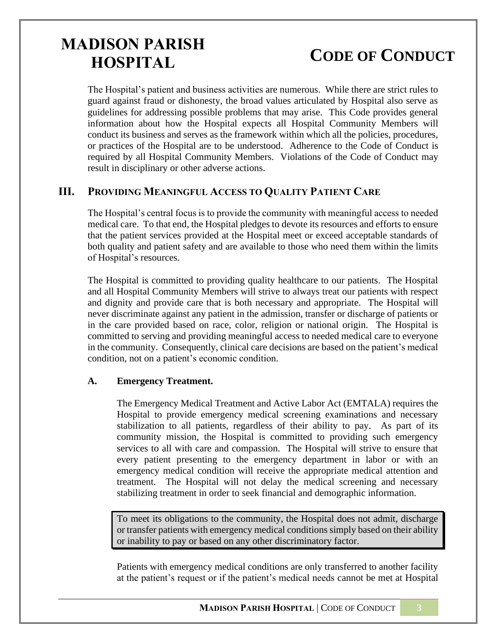# **CODE OF CONDUCT**

The Hospital's patient and business activities are numerous. While there are strict rules to guard against fraud or dishonesty, the broad values articulated by Hospital also serve as guidelines for addressing possible problems that may arise. This Code provides general information about how the Hospital expects all Hospital Community Members will conduct its business and serves as the framework within which all the policies, procedures, or practices of the Hospital are to be understood. Adherence to the Code of Conduct is required by all Hospital Community Members. Violations of the Code of Conduct may result in disciplinary or other adverse actions.

#### **III. PROVIDING MEANINGFUL ACCESS TO QUALITY PATIENT CARE**

The Hospital's central focus is to provide the community with meaningful access to needed medical care. To that end, the Hospital pledges to devote its resources and efforts to ensure that the patient services provided at the Hospital meet or exceed acceptable standards of both quality and patient safety and are available to those who need them within the limits of Hospital's resources.

The Hospital is committed to providing quality healthcare to our patients. The Hospital and all Hospital Community Members will strive to always treat our patients with respect and dignity and provide care that is both necessary and appropriate. The Hospital will never discriminate against any patient in the admission, transfer or discharge of patients or in the care provided based on race, color, religion or national origin. The Hospital is committed to serving and providing meaningful access to needed medical care to everyone in the community. Consequently, clinical care decisions are based on the patient's medical condition, not on a patient's economic condition.

#### **A. Emergency Treatment.**

The Emergency Medical Treatment and Active Labor Act (EMTALA) requires the Hospital to provide emergency medical screening examinations and necessary stabilization to all patients, regardless of their ability to pay. As part of its community mission, the Hospital is committed to providing such emergency services to all with care and compassion. The Hospital will strive to ensure that every patient presenting to the emergency department in labor or with an emergency medical condition will receive the appropriate medical attention and treatment. The Hospital will not delay the medical screening and necessary stabilizing treatment in order to seek financial and demographic information.

To meet its obligations to the community, the Hospital does not admit, discharge or transfer patients with emergency medical conditions simply based on their ability or inability to pay or based on any other discriminatory factor.

Patients with emergency medical conditions are only transferred to another facility at the patient's request or if the patient's medical needs cannot be met at Hospital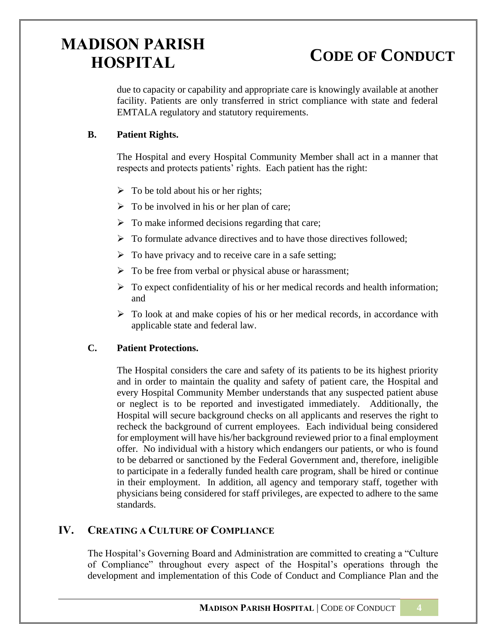# **CODE OF CONDUCT**

due to capacity or capability and appropriate care is knowingly available at another facility. Patients are only transferred in strict compliance with state and federal EMTALA regulatory and statutory requirements.

### **B. Patient Rights.**

The Hospital and every Hospital Community Member shall act in a manner that respects and protects patients' rights. Each patient has the right:

- $\triangleright$  To be told about his or her rights;
- $\triangleright$  To be involved in his or her plan of care;
- $\triangleright$  To make informed decisions regarding that care;
- ➢ To formulate advance directives and to have those directives followed;
- $\triangleright$  To have privacy and to receive care in a safe setting;
- ➢ To be free from verbal or physical abuse or harassment;
- $\triangleright$  To expect confidentiality of his or her medical records and health information; and
- $\triangleright$  To look at and make copies of his or her medical records, in accordance with applicable state and federal law.

### **C. Patient Protections.**

The Hospital considers the care and safety of its patients to be its highest priority and in order to maintain the quality and safety of patient care, the Hospital and every Hospital Community Member understands that any suspected patient abuse or neglect is to be reported and investigated immediately. Additionally, the Hospital will secure background checks on all applicants and reserves the right to recheck the background of current employees. Each individual being considered for employment will have his/her background reviewed prior to a final employment offer. No individual with a history which endangers our patients, or who is found to be debarred or sanctioned by the Federal Government and, therefore, ineligible to participate in a federally funded health care program, shall be hired or continue in their employment. In addition, all agency and temporary staff, together with physicians being considered for staff privileges, are expected to adhere to the same standards.

### **IV. CREATING A CULTURE OF COMPLIANCE**

The Hospital's Governing Board and Administration are committed to creating a "Culture of Compliance" throughout every aspect of the Hospital's operations through the development and implementation of this Code of Conduct and Compliance Plan and the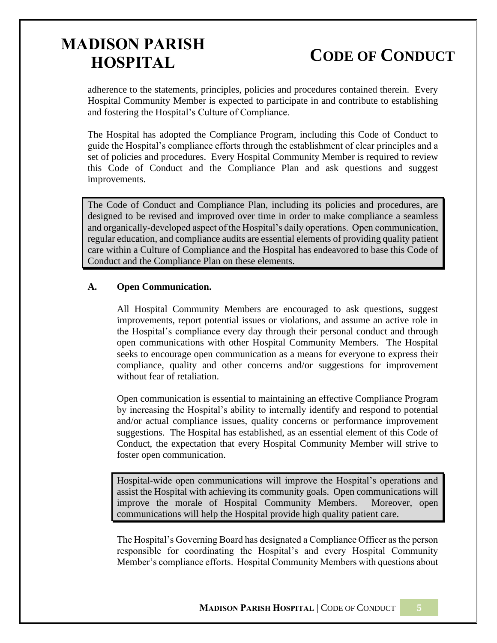# **CODE OF CONDUCT**

adherence to the statements, principles, policies and procedures contained therein. Every Hospital Community Member is expected to participate in and contribute to establishing and fostering the Hospital's Culture of Compliance.

The Hospital has adopted the Compliance Program, including this Code of Conduct to guide the Hospital's compliance efforts through the establishment of clear principles and a set of policies and procedures. Every Hospital Community Member is required to review this Code of Conduct and the Compliance Plan and ask questions and suggest improvements.

The Code of Conduct and Compliance Plan, including its policies and procedures, are designed to be revised and improved over time in order to make compliance a seamless and organically-developed aspect of the Hospital's daily operations. Open communication, regular education, and compliance audits are essential elements of providing quality patient care within a Culture of Compliance and the Hospital has endeavored to base this Code of Conduct and the Compliance Plan on these elements.

#### **A. Open Communication.**

All Hospital Community Members are encouraged to ask questions, suggest improvements, report potential issues or violations, and assume an active role in the Hospital's compliance every day through their personal conduct and through open communications with other Hospital Community Members. The Hospital seeks to encourage open communication as a means for everyone to express their compliance, quality and other concerns and/or suggestions for improvement without fear of retaliation.

Open communication is essential to maintaining an effective Compliance Program by increasing the Hospital's ability to internally identify and respond to potential and/or actual compliance issues, quality concerns or performance improvement suggestions. The Hospital has established, as an essential element of this Code of Conduct, the expectation that every Hospital Community Member will strive to foster open communication.

Hospital-wide open communications will improve the Hospital's operations and assist the Hospital with achieving its community goals. Open communications will improve the morale of Hospital Community Members. Moreover, open communications will help the Hospital provide high quality patient care.

The Hospital's Governing Board has designated a Compliance Officer as the person responsible for coordinating the Hospital's and every Hospital Community Member's compliance efforts. Hospital Community Members with questions about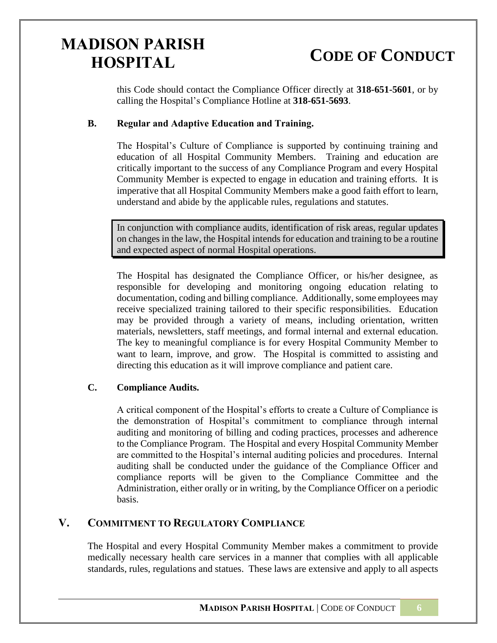# **CODE OF CONDUCT**

this Code should contact the Compliance Officer directly at **318-651-5601**, or by calling the Hospital's Compliance Hotline at **318-651-5693**.

#### **B. Regular and Adaptive Education and Training.**

The Hospital's Culture of Compliance is supported by continuing training and education of all Hospital Community Members. Training and education are critically important to the success of any Compliance Program and every Hospital Community Member is expected to engage in education and training efforts. It is imperative that all Hospital Community Members make a good faith effort to learn, understand and abide by the applicable rules, regulations and statutes.

In conjunction with compliance audits, identification of risk areas, regular updates on changes in the law, the Hospital intends for education and training to be a routine and expected aspect of normal Hospital operations.

The Hospital has designated the Compliance Officer, or his/her designee, as responsible for developing and monitoring ongoing education relating to documentation, coding and billing compliance. Additionally, some employees may receive specialized training tailored to their specific responsibilities. Education may be provided through a variety of means, including orientation, written materials, newsletters, staff meetings, and formal internal and external education. The key to meaningful compliance is for every Hospital Community Member to want to learn, improve, and grow. The Hospital is committed to assisting and directing this education as it will improve compliance and patient care.

#### **C. Compliance Audits.**

A critical component of the Hospital's efforts to create a Culture of Compliance is the demonstration of Hospital's commitment to compliance through internal auditing and monitoring of billing and coding practices, processes and adherence to the Compliance Program. The Hospital and every Hospital Community Member are committed to the Hospital's internal auditing policies and procedures. Internal auditing shall be conducted under the guidance of the Compliance Officer and compliance reports will be given to the Compliance Committee and the Administration, either orally or in writing, by the Compliance Officer on a periodic basis.

### **V. COMMITMENT TO REGULATORY COMPLIANCE**

The Hospital and every Hospital Community Member makes a commitment to provide medically necessary health care services in a manner that complies with all applicable standards, rules, regulations and statues. These laws are extensive and apply to all aspects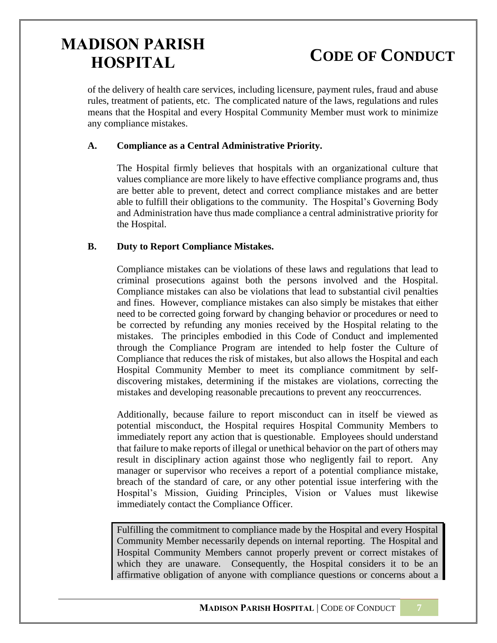# **CODE OF CONDUCT**

of the delivery of health care services, including licensure, payment rules, fraud and abuse rules, treatment of patients, etc. The complicated nature of the laws, regulations and rules means that the Hospital and every Hospital Community Member must work to minimize any compliance mistakes.

#### **A. Compliance as a Central Administrative Priority.**

The Hospital firmly believes that hospitals with an organizational culture that values compliance are more likely to have effective compliance programs and, thus are better able to prevent, detect and correct compliance mistakes and are better able to fulfill their obligations to the community. The Hospital's Governing Body and Administration have thus made compliance a central administrative priority for the Hospital.

#### **B. Duty to Report Compliance Mistakes.**

Compliance mistakes can be violations of these laws and regulations that lead to criminal prosecutions against both the persons involved and the Hospital. Compliance mistakes can also be violations that lead to substantial civil penalties and fines. However, compliance mistakes can also simply be mistakes that either need to be corrected going forward by changing behavior or procedures or need to be corrected by refunding any monies received by the Hospital relating to the mistakes. The principles embodied in this Code of Conduct and implemented through the Compliance Program are intended to help foster the Culture of Compliance that reduces the risk of mistakes, but also allows the Hospital and each Hospital Community Member to meet its compliance commitment by selfdiscovering mistakes, determining if the mistakes are violations, correcting the mistakes and developing reasonable precautions to prevent any reoccurrences.

Additionally, because failure to report misconduct can in itself be viewed as potential misconduct, the Hospital requires Hospital Community Members to immediately report any action that is questionable. Employees should understand that failure to make reports of illegal or unethical behavior on the part of others may result in disciplinary action against those who negligently fail to report. Any manager or supervisor who receives a report of a potential compliance mistake, breach of the standard of care, or any other potential issue interfering with the Hospital's Mission, Guiding Principles, Vision or Values must likewise immediately contact the Compliance Officer.

Fulfilling the commitment to compliance made by the Hospital and every Hospital Community Member necessarily depends on internal reporting. The Hospital and Hospital Community Members cannot properly prevent or correct mistakes of which they are unaware. Consequently, the Hospital considers it to be an affirmative obligation of anyone with compliance questions or concerns about a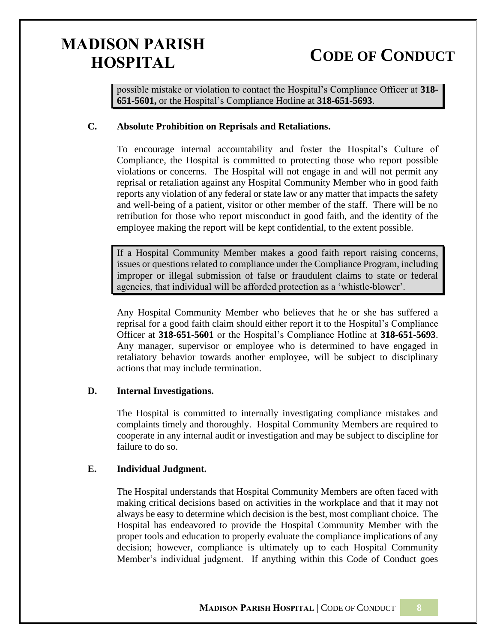# **CODE OF CONDUCT**

possible mistake or violation to contact the Hospital's Compliance Officer at **318- 651-5601,** or the Hospital's Compliance Hotline at **318-651-5693**.

#### **C. Absolute Prohibition on Reprisals and Retaliations.**

To encourage internal accountability and foster the Hospital's Culture of Compliance, the Hospital is committed to protecting those who report possible violations or concerns. The Hospital will not engage in and will not permit any reprisal or retaliation against any Hospital Community Member who in good faith reports any violation of any federal or state law or any matter that impacts the safety and well-being of a patient, visitor or other member of the staff. There will be no retribution for those who report misconduct in good faith, and the identity of the employee making the report will be kept confidential, to the extent possible.

If a Hospital Community Member makes a good faith report raising concerns, issues or questions related to compliance under the Compliance Program, including improper or illegal submission of false or fraudulent claims to state or federal agencies, that individual will be afforded protection as a 'whistle-blower'.

Any Hospital Community Member who believes that he or she has suffered a reprisal for a good faith claim should either report it to the Hospital's Compliance Officer at **318-651-5601** or the Hospital's Compliance Hotline at **318-651-5693**. Any manager, supervisor or employee who is determined to have engaged in retaliatory behavior towards another employee, will be subject to disciplinary actions that may include termination.

#### **D. Internal Investigations.**

The Hospital is committed to internally investigating compliance mistakes and complaints timely and thoroughly. Hospital Community Members are required to cooperate in any internal audit or investigation and may be subject to discipline for failure to do so.

#### **E. Individual Judgment.**

The Hospital understands that Hospital Community Members are often faced with making critical decisions based on activities in the workplace and that it may not always be easy to determine which decision is the best, most compliant choice. The Hospital has endeavored to provide the Hospital Community Member with the proper tools and education to properly evaluate the compliance implications of any decision; however, compliance is ultimately up to each Hospital Community Member's individual judgment. If anything within this Code of Conduct goes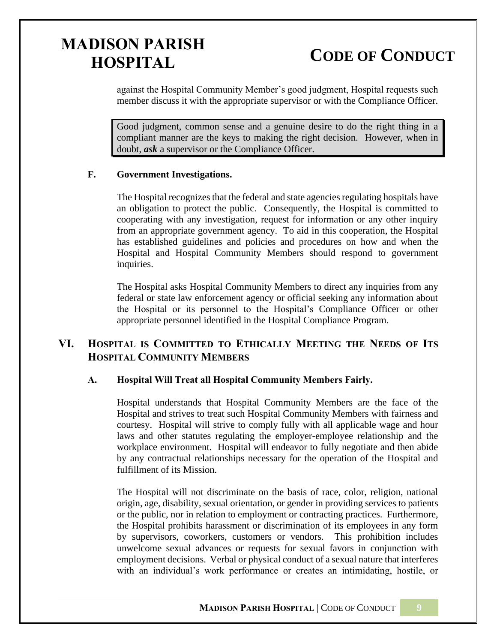**CODE OF CONDUCT**

against the Hospital Community Member's good judgment, Hospital requests such member discuss it with the appropriate supervisor or with the Compliance Officer.

Good judgment, common sense and a genuine desire to do the right thing in a compliant manner are the keys to making the right decision. However, when in doubt, *ask* a supervisor or the Compliance Officer.

#### **F. Government Investigations.**

The Hospital recognizes that the federal and state agencies regulating hospitals have an obligation to protect the public. Consequently, the Hospital is committed to cooperating with any investigation, request for information or any other inquiry from an appropriate government agency. To aid in this cooperation, the Hospital has established guidelines and policies and procedures on how and when the Hospital and Hospital Community Members should respond to government inquiries.

The Hospital asks Hospital Community Members to direct any inquiries from any federal or state law enforcement agency or official seeking any information about the Hospital or its personnel to the Hospital's Compliance Officer or other appropriate personnel identified in the Hospital Compliance Program.

### **VI. HOSPITAL IS COMMITTED TO ETHICALLY MEETING THE NEEDS OF ITS HOSPITAL COMMUNITY MEMBERS**

#### **A. Hospital Will Treat all Hospital Community Members Fairly.**

Hospital understands that Hospital Community Members are the face of the Hospital and strives to treat such Hospital Community Members with fairness and courtesy. Hospital will strive to comply fully with all applicable wage and hour laws and other statutes regulating the employer-employee relationship and the workplace environment. Hospital will endeavor to fully negotiate and then abide by any contractual relationships necessary for the operation of the Hospital and fulfillment of its Mission.

The Hospital will not discriminate on the basis of race, color, religion, national origin, age, disability, sexual orientation, or gender in providing services to patients or the public, nor in relation to employment or contracting practices. Furthermore, the Hospital prohibits harassment or discrimination of its employees in any form by supervisors, coworkers, customers or vendors. This prohibition includes unwelcome sexual advances or requests for sexual favors in conjunction with employment decisions. Verbal or physical conduct of a sexual nature that interferes with an individual's work performance or creates an intimidating, hostile, or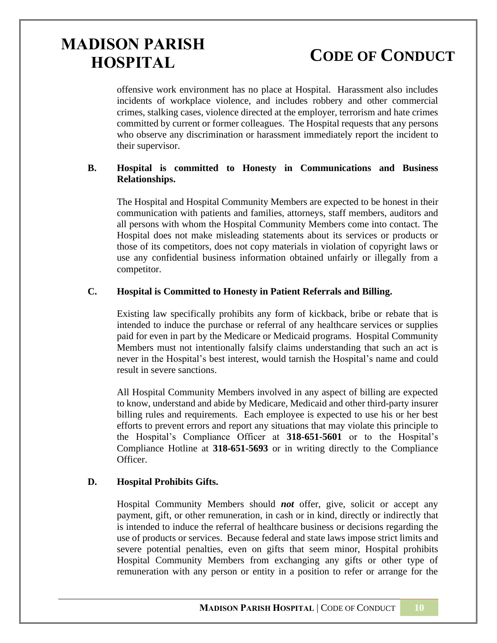# **CODE OF CONDUCT**

offensive work environment has no place at Hospital. Harassment also includes incidents of workplace violence, and includes robbery and other commercial crimes, stalking cases, violence directed at the employer, terrorism and hate crimes committed by current or former colleagues. The Hospital requests that any persons who observe any discrimination or harassment immediately report the incident to their supervisor.

#### **B. Hospital is committed to Honesty in Communications and Business Relationships.**

The Hospital and Hospital Community Members are expected to be honest in their communication with patients and families, attorneys, staff members, auditors and all persons with whom the Hospital Community Members come into contact. The Hospital does not make misleading statements about its services or products or those of its competitors, does not copy materials in violation of copyright laws or use any confidential business information obtained unfairly or illegally from a competitor.

#### **C. Hospital is Committed to Honesty in Patient Referrals and Billing.**

Existing law specifically prohibits any form of kickback, bribe or rebate that is intended to induce the purchase or referral of any healthcare services or supplies paid for even in part by the Medicare or Medicaid programs. Hospital Community Members must not intentionally falsify claims understanding that such an act is never in the Hospital's best interest, would tarnish the Hospital's name and could result in severe sanctions.

All Hospital Community Members involved in any aspect of billing are expected to know, understand and abide by Medicare, Medicaid and other third-party insurer billing rules and requirements. Each employee is expected to use his or her best efforts to prevent errors and report any situations that may violate this principle to the Hospital's Compliance Officer at **318-651-5601** or to the Hospital's Compliance Hotline at **318-651-5693** or in writing directly to the Compliance Officer.

#### **D. Hospital Prohibits Gifts.**

Hospital Community Members should *not* offer, give, solicit or accept any payment, gift, or other remuneration, in cash or in kind, directly or indirectly that is intended to induce the referral of healthcare business or decisions regarding the use of products or services. Because federal and state laws impose strict limits and severe potential penalties, even on gifts that seem minor, Hospital prohibits Hospital Community Members from exchanging any gifts or other type of remuneration with any person or entity in a position to refer or arrange for the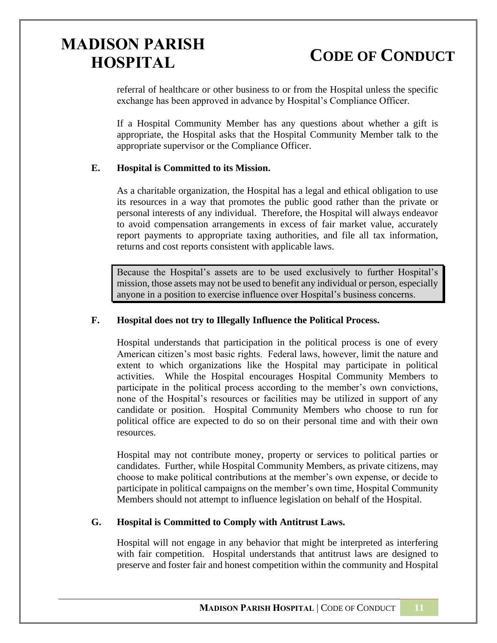**CODE OF CONDUCT**

referral of healthcare or other business to or from the Hospital unless the specific exchange has been approved in advance by Hospital's Compliance Officer.

If a Hospital Community Member has any questions about whether a gift is appropriate, the Hospital asks that the Hospital Community Member talk to the appropriate supervisor or the Compliance Officer.

#### **E. Hospital is Committed to its Mission.**

As a charitable organization, the Hospital has a legal and ethical obligation to use its resources in a way that promotes the public good rather than the private or personal interests of any individual. Therefore, the Hospital will always endeavor to avoid compensation arrangements in excess of fair market value, accurately report payments to appropriate taxing authorities, and file all tax information, returns and cost reports consistent with applicable laws.

Because the Hospital's assets are to be used exclusively to further Hospital's mission, those assets may not be used to benefit any individual or person, especially anyone in a position to exercise influence over Hospital's business concerns.

#### **F. Hospital does not try to Illegally Influence the Political Process.**

Hospital understands that participation in the political process is one of every American citizen's most basic rights. Federal laws, however, limit the nature and extent to which organizations like the Hospital may participate in political activities. While the Hospital encourages Hospital Community Members to participate in the political process according to the member's own convictions, none of the Hospital's resources or facilities may be utilized in support of any candidate or position. Hospital Community Members who choose to run for political office are expected to do so on their personal time and with their own resources.

Hospital may not contribute money, property or services to political parties or candidates. Further, while Hospital Community Members, as private citizens, may choose to make political contributions at the member's own expense, or decide to participate in political campaigns on the member's own time, Hospital Community Members should not attempt to influence legislation on behalf of the Hospital.

#### **G. Hospital is Committed to Comply with Antitrust Laws.**

Hospital will not engage in any behavior that might be interpreted as interfering with fair competition. Hospital understands that antitrust laws are designed to preserve and foster fair and honest competition within the community and Hospital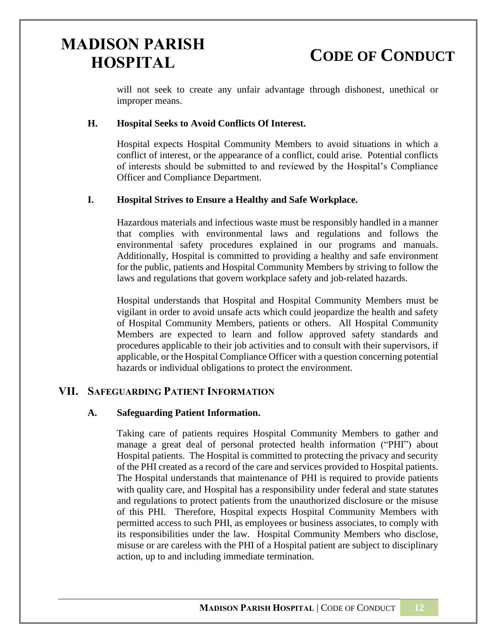**CODE OF CONDUCT**

will not seek to create any unfair advantage through dishonest, unethical or improper means.

#### **H. Hospital Seeks to Avoid Conflicts Of Interest.**

Hospital expects Hospital Community Members to avoid situations in which a conflict of interest, or the appearance of a conflict, could arise. Potential conflicts of interests should be submitted to and reviewed by the Hospital's Compliance Officer and Compliance Department.

#### **I. Hospital Strives to Ensure a Healthy and Safe Workplace.**

Hazardous materials and infectious waste must be responsibly handled in a manner that complies with environmental laws and regulations and follows the environmental safety procedures explained in our programs and manuals. Additionally, Hospital is committed to providing a healthy and safe environment for the public, patients and Hospital Community Members by striving to follow the laws and regulations that govern workplace safety and job-related hazards.

Hospital understands that Hospital and Hospital Community Members must be vigilant in order to avoid unsafe acts which could jeopardize the health and safety of Hospital Community Members, patients or others. All Hospital Community Members are expected to learn and follow approved safety standards and procedures applicable to their job activities and to consult with their supervisors, if applicable, or the Hospital Compliance Officer with a question concerning potential hazards or individual obligations to protect the environment.

#### **VII. SAFEGUARDING PATIENT INFORMATION**

#### **A. Safeguarding Patient Information.**

Taking care of patients requires Hospital Community Members to gather and manage a great deal of personal protected health information ("PHI") about Hospital patients. The Hospital is committed to protecting the privacy and security of the PHI created as a record of the care and services provided to Hospital patients. The Hospital understands that maintenance of PHI is required to provide patients with quality care, and Hospital has a responsibility under federal and state statutes and regulations to protect patients from the unauthorized disclosure or the misuse of this PHI. Therefore, Hospital expects Hospital Community Members with permitted access to such PHI, as employees or business associates, to comply with its responsibilities under the law. Hospital Community Members who disclose, misuse or are careless with the PHI of a Hospital patient are subject to disciplinary action, up to and including immediate termination.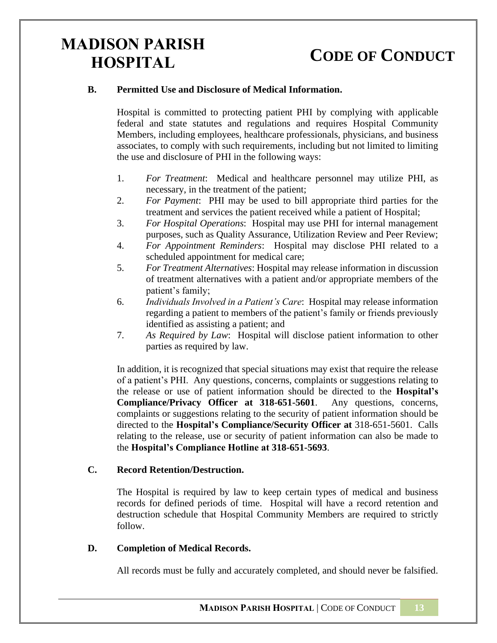### **CODE OF CONDUCT**

#### **B. Permitted Use and Disclosure of Medical Information.**

Hospital is committed to protecting patient PHI by complying with applicable federal and state statutes and regulations and requires Hospital Community Members, including employees, healthcare professionals, physicians, and business associates, to comply with such requirements, including but not limited to limiting the use and disclosure of PHI in the following ways:

- 1. *For Treatment*: Medical and healthcare personnel may utilize PHI, as necessary, in the treatment of the patient;
- 2. *For Payment*: PHI may be used to bill appropriate third parties for the treatment and services the patient received while a patient of Hospital;
- 3. *For Hospital Operations*: Hospital may use PHI for internal management purposes, such as Quality Assurance, Utilization Review and Peer Review;
- 4. *For Appointment Reminders*: Hospital may disclose PHI related to a scheduled appointment for medical care;
- 5. *For Treatment Alternatives*: Hospital may release information in discussion of treatment alternatives with a patient and/or appropriate members of the patient's family;
- 6. *Individuals Involved in a Patient's Care*: Hospital may release information regarding a patient to members of the patient's family or friends previously identified as assisting a patient; and
- 7. *As Required by Law*: Hospital will disclose patient information to other parties as required by law.

In addition, it is recognized that special situations may exist that require the release of a patient's PHI. Any questions, concerns, complaints or suggestions relating to the release or use of patient information should be directed to the **Hospital's Compliance/Privacy Officer at 318-651-5601**. Any questions, concerns, complaints or suggestions relating to the security of patient information should be directed to the **Hospital's Compliance/Security Officer at** 318-651-5601. Calls relating to the release, use or security of patient information can also be made to the **Hospital's Compliance Hotline at 318-651-5693**.

#### **C. Record Retention/Destruction.**

The Hospital is required by law to keep certain types of medical and business records for defined periods of time. Hospital will have a record retention and destruction schedule that Hospital Community Members are required to strictly follow.

#### **D. Completion of Medical Records.**

All records must be fully and accurately completed, and should never be falsified.